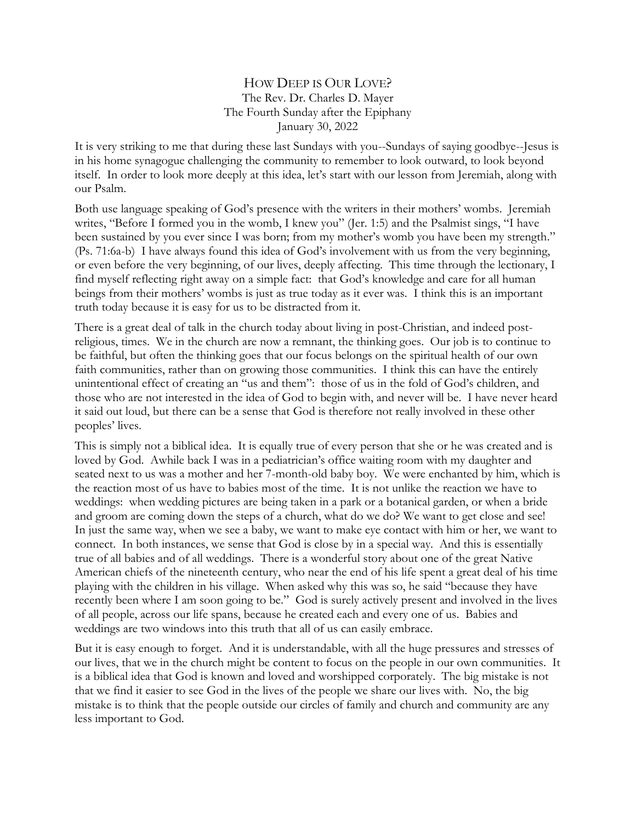## HOW DEEP IS OUR LOVE? The Rev. Dr. Charles D. Mayer The Fourth Sunday after the Epiphany January 30, 2022

It is very striking to me that during these last Sundays with you--Sundays of saying goodbye--Jesus is in his home synagogue challenging the community to remember to look outward, to look beyond itself. In order to look more deeply at this idea, let's start with our lesson from Jeremiah, along with our Psalm.

Both use language speaking of God's presence with the writers in their mothers' wombs. Jeremiah writes, "Before I formed you in the womb, I knew you" (Jer. 1:5) and the Psalmist sings, "I have been sustained by you ever since I was born; from my mother's womb you have been my strength." (Ps. 71:6a-b) I have always found this idea of God's involvement with us from the very beginning, or even before the very beginning, of our lives, deeply affecting. This time through the lectionary, I find myself reflecting right away on a simple fact: that God's knowledge and care for all human beings from their mothers' wombs is just as true today as it ever was. I think this is an important truth today because it is easy for us to be distracted from it.

There is a great deal of talk in the church today about living in post-Christian, and indeed postreligious, times. We in the church are now a remnant, the thinking goes. Our job is to continue to be faithful, but often the thinking goes that our focus belongs on the spiritual health of our own faith communities, rather than on growing those communities. I think this can have the entirely unintentional effect of creating an "us and them": those of us in the fold of God's children, and those who are not interested in the idea of God to begin with, and never will be. I have never heard it said out loud, but there can be a sense that God is therefore not really involved in these other peoples' lives.

This is simply not a biblical idea. It is equally true of every person that she or he was created and is loved by God. Awhile back I was in a pediatrician's office waiting room with my daughter and seated next to us was a mother and her 7-month-old baby boy. We were enchanted by him, which is the reaction most of us have to babies most of the time. It is not unlike the reaction we have to weddings: when wedding pictures are being taken in a park or a botanical garden, or when a bride and groom are coming down the steps of a church, what do we do? We want to get close and see! In just the same way, when we see a baby, we want to make eye contact with him or her, we want to connect. In both instances, we sense that God is close by in a special way. And this is essentially true of all babies and of all weddings. There is a wonderful story about one of the great Native American chiefs of the nineteenth century, who near the end of his life spent a great deal of his time playing with the children in his village. When asked why this was so, he said "because they have recently been where I am soon going to be." God is surely actively present and involved in the lives of all people, across our life spans, because he created each and every one of us. Babies and weddings are two windows into this truth that all of us can easily embrace.

But it is easy enough to forget. And it is understandable, with all the huge pressures and stresses of our lives, that we in the church might be content to focus on the people in our own communities. It is a biblical idea that God is known and loved and worshipped corporately. The big mistake is not that we find it easier to see God in the lives of the people we share our lives with. No, the big mistake is to think that the people outside our circles of family and church and community are any less important to God.